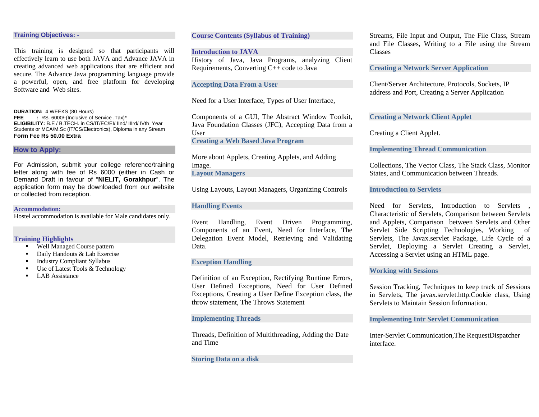## **Training Objectives: -**

This training is designed so that participants will effectively learn to use both JAVA and Advance JAVA in creating advanced web applications that are efficient and secure. The Advance Java programming language provide a powerful, open, and free platform for developing Software and Web sites.

**DURATION:** 4 WEEKS (80 Hours)<br>**FEE** : RS. 6000/-(Inclusive of **FEE :** RS. 6000/-(Inclusive of Service .Tax)\* **ELIGIBILITY:** B.E / B.TECH. in CS/IT/EC/EI/ IInd/ IIIrd/ IVth Year Students or MCA/M.Sc (IT/CS/Electronics), Diploma in any Stream **Form Fee Rs 50.00 Extra** 

## **How to Apply:**

For Admission, submit your college reference/training letter along with fee of Rs 6000 (either in Cash or Demand Draft in favour of "**NIELIT, Gorakhpur**". The application form may be downloaded from our website or collected from reception.

**Accommodation:** 

Hostel accommodation is available for Male candidates only.

## **Training Highlights**

- $\mathbf{r}$ Well Managed Course pattern
- $\blacksquare$ Daily Handouts & Lab Exercise
- $\blacksquare$ Industry Compliant Syllabus
- $\blacksquare$ Use of Latest Tools & Technology
- $\blacksquare$ LAB Assistance

# **Course Contents (Syllabus of Training)**

**Introduction to JAVA** History of Java, Java Programs, analyzing Client Requirements, Converting C++ code to Java

## **Accepting Data From a User**

Need for a User Interface, Types of User Interface,

Components of a GUI, The Abstract Window Toolkit, Java Foundation Classes (JFC), Accepting Data from a User

**Creating a Web Based Java Program** 

More about Applets, Creating Applets, and Adding Image.

**Layout Managers** 

Using Layouts, Layout Managers, Organizing Controls

## **Handling Events**

Event Handling, Event Driven Programming, Components of an Event, Need for Interface, The Delegation Event Model, Retrieving and Validating Data.

## **Exception Handling**

Definition of an Exception, Rectifying Runtime Errors, User Defined Exceptions, Need for User Defined Exceptions, Creating a User Define Exception class, the throw statement, The Throws Statement

#### **Implementing Threads**

Threads, Definition of Multithreading, Adding the Date and Time

**Storing Data on a disk** 

Streams, File Input and Output, The File Class, Stream and File Classes, Writing to a File using the Stream Classes

**Creating a Network Server Application** 

Client/Server Architecture, Protocols, Sockets, IP address and Port, Creating a Server Application

**Creating a Network Client Applet** 

Creating a Client Applet.

**Implementing Thread Communication** 

Collections, The Vector Class, The Stack Class, Monitor States, and Communication between Threads.

**Introduction to Servlets** 

Need for Servlets, Introduction to Servlets , Characteristic of Servlets, Comparison between Servlets and Applets, Comparison between Servlets and Other Servlet Side Scripting Technologies, Working of Servlets, The Javax.servlet Package, Life Cycle of a Servlet, Deploying a Servlet Creating a Servlet, Accessing a Servlet using an HTML page.

## **Working with Sessions**

Session Tracking, Techniques to keep track of Sessions in Servlets, The javax.servlet.http.Cookie class, Using Servlets to Maintain Session Information.

# **Implementing Intr Servlet Communication**

Inter-Servlet Communication,The RequestDispatcher interface.